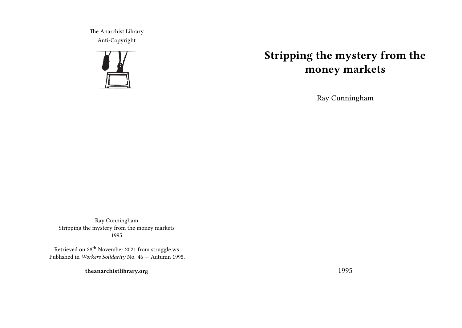The Anarchist Library Anti-Copyright



## **Stripping the mystery from the money markets**

Ray Cunningham

Ray Cunningham Stripping the mystery from the money markets 1995

Retrieved on 28th November 2021 from struggle.ws Published in *Workers Solidarity* No. 46 — Autumn 1995.

**theanarchistlibrary.org**

1995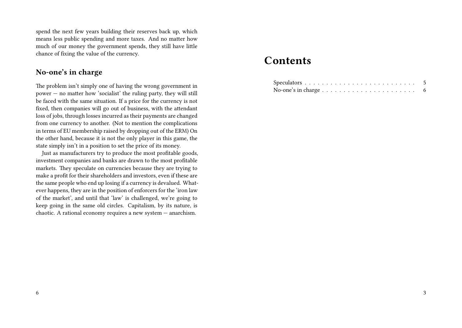spend the next few years building their reserves back up, which means less public spending and more taxes. And no matter how much of our money the government spends, they still have little chance of fixing the value of the currency.

## **No-one's in charge**

The problem isn't simply one of having the wrong government in power — no matter how 'socialist' the ruling party, they will still be faced with the same situation. If a price for the currency is not fixed, then companies will go out of business, with the attendant loss of jobs, through losses incurred as their payments are changed from one currency to another. (Not to mention the complications in terms of EU membership raised by dropping out of the ERM) On the other hand, because it is not the only player in this game, the state simply isn't in a position to set the price of its money.

Just as manufacturers try to produce the most profitable goods, investment companies and banks are drawn to the most profitable markets. They speculate on currencies because they are trying to make a profit for their shareholders and investors, even if these are the same people who end up losing if a currency is devalued. Whatever happens, they are in the position of enforcers for the 'iron law of the market', and until that 'law' is challenged, we're going to keep going in the same old circles. Capitalism, by its nature, is chaotic. A rational economy requires a new system — anarchism.

## **Contents**

| No-one's in charge $\dots \dots \dots \dots \dots \dots \dots \dots \dots \dots$ |  |  |  |  |  |  |  |  |  |  |  |  |
|----------------------------------------------------------------------------------|--|--|--|--|--|--|--|--|--|--|--|--|